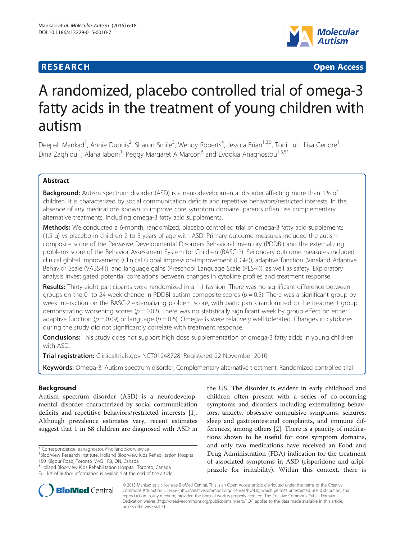## **RESEARCH CHE CHE Open Access**



# A randomized, placebo controlled trial of omega-3 fatty acids in the treatment of young children with autism

Deepali Mankad<sup>1</sup>, Annie Dupuis<sup>2</sup>, Sharon Smile<sup>3</sup>, Wendy Roberts<sup>4</sup>, Jessica Brian<sup>1,3,5</sup>, Toni Lui<sup>1</sup>, Lisa Genore<sup>1</sup> , Dina Zaghloul<sup>1</sup>, Alana Iaboni<sup>1</sup>, Peggy Margaret A Marcon<sup>6</sup> and Evdokia Anagnostou<sup>1,3,5\*</sup>

## Abstract

**Background:** Autism spectrum disorder (ASD) is a neurodevelopmental disorder affecting more than 1% of children. It is characterized by social communication deficits and repetitive behaviors/restricted interests. In the absence of any medications known to improve core symptom domains, parents often use complementary alternative treatments, including omega-3 fatty acid supplements.

Methods: We conducted a 6-month, randomized, placebo controlled trial of omega-3 fatty acid supplements (1.5 g) vs placebo in children 2 to 5 years of age with ASD. Primary outcome measures included the autism composite score of the Pervasive Developmental Disorders Behavioral Inventory (PDDBI) and the externalizing problems score of the Behavior Assessment System for Children (BASC-2). Secondary outcome measures included clinical global improvement (Clinical Global Impression-Improvement (CGI-I)), adaptive function (Vineland Adaptive Behavior Scale (VABS-II)), and language gains (Preschool Language Scale (PLS-4)), as well as safety. Exploratory analysis investigated potential correlations between changes in cytokine profiles and treatment response.

Results: Thirty-eight participants were randomized in a 1:1 fashion. There was no significant difference between groups on the 0- to 24-week change in PDDBI autism composite scores ( $p = 0.5$ ). There was a significant group by week interaction on the BASC-2 externalizing problem score, with participants randomized to the treatment group demonstrating worsening scores ( $p = 0.02$ ). There was no statistically significant week by group effect on either adaptive function ( $p = 0.09$ ) or language ( $p = 0.6$ ). Omega-3s were relatively well tolerated. Changes in cytokines during the study did not significantly correlate with treatment response.

**Conclusions:** This study does not support high dose supplementation of omega-3 fatty acids in young children with ASD.

Trial registration: Clinicaltrials.gov [NCT01248728.](https://clinicaltrials.gov/ct2/show/NCT01248728?term=NCT01248728&rank=1) Registered 22 November 2010.

Keywords: Omega-3, Autism spectrum disorder, Complementary alternative treatment, Randomized controlled trial

## Background

Autism spectrum disorder (ASD) is a neurodevelopmental disorder characterized by social communication deficits and repetitive behaviors/restricted interests [\[1](#page-9-0)]. Although prevalence estimates vary, recent estimates suggest that 1 in 68 children are diagnosed with ASD in

\* Correspondence: [eanagnostou@hollandbloorview.ca](mailto:eanagnostou@hollandbloorview.ca) <sup>1</sup>

Full list of author information is available at the end of the article

the US. The disorder is evident in early childhood and children often present with a series of co-occurring symptoms and disorders including externalizing behaviors, anxiety, obsessive compulsive symptoms, seizures, sleep and gastrointestinal complaints, and immune differences, among others [[2\]](#page-9-0). There is a paucity of medications shown to be useful for core symptom domains, and only two medications have received an Food and Drug Administration (FDA) indication for the treatment of associated symptoms in ASD (risperidone and aripiprazole for irritability). Within this context, there is



© 2015 Mankad et al.; licensee BioMed Central. This is an Open Access article distributed under the terms of the Creative Commons Attribution License [\(http://creativecommons.org/licenses/by/4.0\)](http://creativecommons.org/licenses/by/4.0), which permits unrestricted use, distribution, and reproduction in any medium, provided the original work is properly credited. The Creative Commons Public Domain Dedication waiver [\(http://creativecommons.org/publicdomain/zero/1.0/](http://creativecommons.org/publicdomain/zero/1.0/)) applies to the data made available in this article, unless otherwise stated.

<sup>&</sup>lt;sup>1</sup>Bloorview Research Institute, Holland Bloorview Kids Rehabilitation Hospital, 150 Kilgour Road, Toronto M4G 1R8, ON, Canada

<sup>3</sup> Holland Bloorview Kids Rehabilitation Hospital, Toronto, Canada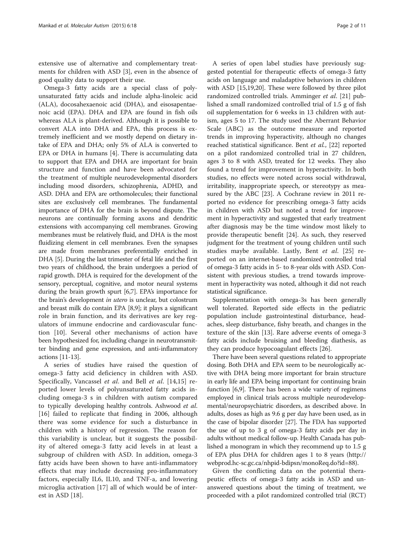extensive use of alternative and complementary treatments for children with ASD [\[3\]](#page-9-0), even in the absence of good quality data to support their use.

Omega-3 fatty acids are a special class of polyunsaturated fatty acids and include alpha-linoleic acid (ALA), docosahexaenoic acid (DHA), and eisosapentaenoic acid (EPA). DHA and EPA are found in fish oils whereas ALA is plant-derived. Although it is possible to convert ALA into DHA and EPA, this process is extremely inefficient and we mostly depend on dietary intake of EPA and DHA; only 5% of ALA is converted to EPA or DHA in humans [[4\]](#page-9-0). There is accumulating data to support that EPA and DHA are important for brain structure and function and have been advocated for the treatment of multiple neurodevelopmental disorders including mood disorders, schizophrenia, ADHD, and ASD. DHA and EPA are orthomolecules; their functional sites are exclusively cell membranes. The fundamental importance of DHA for the brain is beyond dispute. The neurons are continually forming axons and dendritic extensions with accompanying cell membranes. Growing membranes must be relatively fluid, and DHA is the most fluidizing element in cell membranes. Even the synapses are made from membranes preferentially enriched in DHA [\[5\]](#page-9-0). During the last trimester of fetal life and the first two years of childhood, the brain undergoes a period of rapid growth. DHA is required for the development of the sensory, perceptual, cognitive, and motor neural systems during the brain growth spurt [\[6,7](#page-9-0)]. EPA's importance for the brain's development in utero is unclear, but colostrum and breast milk do contain EPA [\[8,9\]](#page-9-0); it plays a significant role in brain function, and its derivatives are key regulators of immune endocrine and cardiovascular function [[10\]](#page-9-0). Several other mechanisms of action have been hypothesized for, including change in neurotransmitter binding and gene expression, and anti-inflammatory actions [[11](#page-9-0)-[13](#page-9-0)].

A series of studies have raised the question of omega-3 fatty acid deficiency in children with ASD. Specifically, Vancassel et al. and Bell et al. [[14,15](#page-9-0)] reported lower levels of polyunsaturated fatty acids including omega-3 s in children with autism compared to typically developing healthy controls. Ashwood et al. [[16\]](#page-9-0) failed to replicate that finding in 2006, although there was some evidence for such a disturbance in children with a history of regression. The reason for this variability is unclear, but it suggests the possibility of altered omega-3 fatty acid levels in at least a subgroup of children with ASD. In addition, omega-3 fatty acids have been shown to have anti-inflammatory effects that may include decreasing pro-inflammatory factors, especially IL6, IL10, and TNF-a, and lowering microglia activation [[17\]](#page-9-0) all of which would be of interest in ASD [\[18](#page-9-0)].

A series of open label studies have previously suggested potential for therapeutic effects of omega-3 fatty acids on language and maladaptive behaviors in children with ASD [[15,19,20\]](#page-9-0). These were followed by three pilot randomized controlled trials. Amminger et al. [[21\]](#page-9-0) published a small randomized controlled trial of 1.5 g of fish oil supplementation for 6 weeks in 13 children with autism, ages 5 to 17. The study used the Aberrant Behavior Scale (ABC) as the outcome measure and reported trends in improving hyperactivity, although no changes reached statistical significance. Bent et al., [\[22\]](#page-9-0) reported on a pilot randomized controlled trial in 27 children, ages 3 to 8 with ASD, treated for 12 weeks. They also found a trend for improvement in hyperactivity. In both studies, no effects were noted across social withdrawal, irritability, inappropriate speech, or stereotypy as measured by the ABC [[23\]](#page-9-0). A Cochrane review in 2011 reported no evidence for prescribing omega-3 fatty acids in children with ASD but noted a trend for improvement in hyperactivity and suggested that early treatment after diagnosis may be the time window most likely to provide therapeutic benefit [\[24](#page-9-0)]. As such, they reserved judgment for the treatment of young children until such studies maybe available. Lastly, Bent et al. [[25](#page-9-0)] reported on an internet-based randomized controlled trial of omega-3 fatty acids in 5- to 8-year olds with ASD. Consistent with previous studies, a trend towards improvement in hyperactivity was noted, although it did not reach statistical significance.

Supplementation with omega-3s has been generally well tolerated. Reported side effects in the pediatric population include gastrointestinal disturbance, headaches, sleep disturbance, fishy breath, and changes in the texture of the skin [\[13\]](#page-9-0). Rare adverse events of omega-3 fatty acids include bruising and bleeding diathesis, as they can produce hypocoagulant effects [\[26\]](#page-9-0).

There have been several questions related to appropriate dosing. Both DHA and EPA seem to be neurologically active with DHA being more important for brain structure in early life and EPA being important for continuing brain function [[6,9](#page-9-0)]. There has been a wide variety of regimens employed in clinical trials across multiple neurodevelopmental/neuropsychiatric disorders, as described above. In adults, doses as high as 9.6 g per day have been used, as in the case of bipolar disorder [\[27](#page-9-0)]. The FDA has supported the use of up to 3 g of omega-3 fatty acids per day in adults without medical follow-up. Health Canada has published a monogram in which they recommend up to 1.5 g of EPA plus DHA for children ages 1 to 8 years ([http://](http://webprod.hc-sc.gc.ca/nhpid-bdipsn/monoReq.do?id=88) [webprod.hc-sc.gc.ca/nhpid-bdipsn/monoReq.do?id=88](http://webprod.hc-sc.gc.ca/nhpid-bdipsn/monoReq.do?id=88)).

Given the conflicting data on the potential therapeutic effects of omega-3 fatty acids in ASD and unanswered questions about the timing of treatment, we proceeded with a pilot randomized controlled trial (RCT)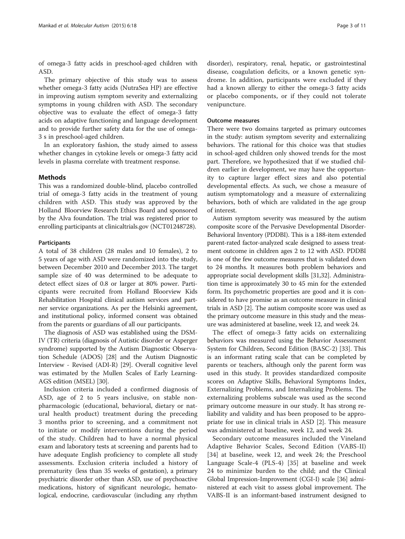of omega-3 fatty acids in preschool-aged children with ASD.

The primary objective of this study was to assess whether omega-3 fatty acids (NutraSea HP) are effective in improving autism symptom severity and externalizing symptoms in young children with ASD. The secondary objective was to evaluate the effect of omega-3 fatty acids on adaptive functioning and language development and to provide further safety data for the use of omega-3 s in preschool-aged children.

In an exploratory fashion, the study aimed to assess whether changes in cytokine levels or omega-3 fatty acid levels in plasma correlate with treatment response.

#### Methods

This was a randomized double-blind, placebo controlled trial of omega-3 fatty acids in the treatment of young children with ASD. This study was approved by the Holland Bloorview Research Ethics Board and sponsored by the Alva foundation. The trial was registered prior to enrolling participants at clinicaltrials.gov (NCT01248728).

#### **Participants**

A total of 38 children (28 males and 10 females), 2 to 5 years of age with ASD were randomized into the study, between December 2010 and December 2013. The target sample size of 40 was determined to be adequate to detect effect sizes of 0.8 or larger at 80% power. Participants were recruited from Holland Bloorview Kids Rehabilitation Hospital clinical autism services and partner service organizations. As per the Helsinki agreement, and institutional policy, informed consent was obtained from the parents or guardians of all our participants.

The diagnosis of ASD was established using the DSM-IV (TR) criteria (diagnosis of Autistic disorder or Asperger syndrome) supported by the Autism Diagnostic Observation Schedule (ADOS) [\[28\]](#page-9-0) and the Autism Diagnostic Interview - Revised (ADI-R) [\[29\]](#page-10-0). Overall cognitive level was estimated by the Mullen Scales of Early Learning-AGS edition (MSEL) [\[30](#page-10-0)].

Inclusion criteria included a confirmed diagnosis of ASD, age of 2 to 5 years inclusive, on stable nonpharmacologic (educational, behavioral, dietary or natural health product) treatment during the preceding 3 months prior to screening, and a commitment not to initiate or modify interventions during the period of the study. Children had to have a normal physical exam and laboratory tests at screening and parents had to have adequate English proficiency to complete all study assessments. Exclusion criteria included a history of prematurity (less than 35 weeks of gestation), a primary psychiatric disorder other than ASD, use of psychoactive medications, history of significant neurologic, hematological, endocrine, cardiovascular (including any rhythm

disorder), respiratory, renal, hepatic, or gastrointestinal disease, coagulation deficits, or a known genetic syndrome. In addition, participants were excluded if they had a known allergy to either the omega-3 fatty acids or placebo components, or if they could not tolerate venipuncture.

#### Outcome measures

There were two domains targeted as primary outcomes in the study: autism symptom severity and externalizing behaviors. The rational for this choice was that studies in school-aged children only showed trends for the most part. Therefore, we hypothesized that if we studied children earlier in development, we may have the opportunity to capture larger effect sizes and also potential developmental effects. As such, we chose a measure of autism symptomatology and a measure of externalizing behaviors, both of which are validated in the age group of interest.

Autism symptom severity was measured by the autism composite score of the Pervasive Developmental Disorder-Behavioral Inventory (PDDBI). This is a 188-item extended parent-rated factor-analyzed scale designed to assess treatment outcome in children ages 2 to 12 with ASD. PDDBI is one of the few outcome measures that is validated down to 24 months. It measures both problem behaviors and appropriate social development skills [\[31,32\]](#page-10-0). Administration time is approximately 30 to 45 min for the extended form. Its psychometric properties are good and it is considered to have promise as an outcome measure in clinical trials in ASD [[2](#page-9-0)]. The autism composite score was used as the primary outcome measure in this study and the measure was administered at baseline, week 12, and week 24.

The effect of omega-3 fatty acids on externalizing behaviors was measured using the Behavior Assessment System for Children, Second Edition (BASC-2) [\[33](#page-10-0)]. This is an informant rating scale that can be completed by parents or teachers, although only the parent form was used in this study. It provides standardized composite scores on Adaptive Skills, Behavioral Symptoms Index, Externalizing Problems, and Internalizing Problems. The externalizing problems subscale was used as the second primary outcome measure in our study. It has strong reliability and validity and has been proposed to be appropriate for use in clinical trials in ASD [[2\]](#page-9-0). This measure was administered at baseline, week 12, and week 24.

Secondary outcome measures included the Vineland Adaptive Behavior Scales, Second Edition (VABS-II) [[34\]](#page-10-0) at baseline, week 12, and week 24; the Preschool Language Scale-4 (PLS-4) [\[35](#page-10-0)] at baseline and week 24 to minimize burden to the child; and the Clinical Global Impression-Improvement (CGI-I) scale [\[36\]](#page-10-0) administered at each visit to assess global improvement. The VABS-II is an informant-based instrument designed to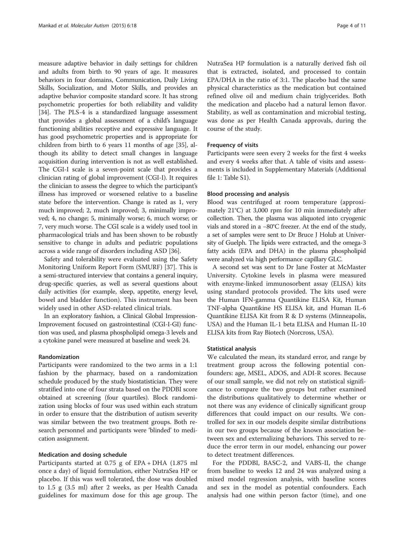measure adaptive behavior in daily settings for children and adults from birth to 90 years of age. It measures behaviors in four domains, Communication, Daily Living Skills, Socialization, and Motor Skills, and provides an adaptive behavior composite standard score. It has strong psychometric properties for both reliability and validity [[34](#page-10-0)]. The PLS-4 is a standardized language assessment that provides a global assessment of a child's language functioning abilities receptive and expressive language. It has good psychometric properties and is appropriate for children from birth to 6 years 11 months of age [[35](#page-10-0)], although its ability to detect small changes in language acquisition during intervention is not as well established. The CGI-I scale is a seven-point scale that provides a clinician rating of global improvement (CGI-I). It requires the clinician to assess the degree to which the participant's illness has improved or worsened relative to a baseline state before the intervention. Change is rated as 1, very much improved; 2, much improved; 3, minimally improved; 4, no change; 5, minimally worse; 6, much worse; or 7, very much worse. The CGI scale is a widely used tool in pharmacological trials and has been shown to be robustly sensitive to change in adults and pediatric populations across a wide range of disorders including ASD [\[36](#page-10-0)].

Safety and tolerability were evaluated using the Safety Monitoring Uniform Report Form (SMURF) [\[37\]](#page-10-0). This is a semi-structured interview that contains a general inquiry, drug-specific queries, as well as several questions about daily activities (for example, sleep, appetite, energy level, bowel and bladder function). This instrument has been widely used in other ASD-related clinical trials.

In an exploratory fashion, a Clinical Global Impression-Improvement focused on gastrointestinal (CGI-I-GI) function was used, and plasma phospholipid omega-3 levels and a cytokine panel were measured at baseline and week 24.

#### Randomization

Participants were randomized to the two arms in a 1:1 fashion by the pharmacy, based on a randomization schedule produced by the study biostatistician. They were stratified into one of four strata based on the PDDBI score obtained at screening (four quartiles). Block randomization using blocks of four was used within each stratum in order to ensure that the distribution of autism severity was similar between the two treatment groups. Both research personnel and participants were 'blinded' to medication assignment.

#### Medication and dosing schedule

Participants started at 0.75 g of EPA + DHA (1.875 ml once a day) of liquid formulation, either NutraSea HP or placebo. If this was well tolerated, the dose was doubled to 1.5 g (3.5 ml) after 2 weeks, as per Health Canada guidelines for maximum dose for this age group. The NutraSea HP formulation is a naturally derived fish oil that is extracted, isolated, and processed to contain EPA/DHA in the ratio of 3:1. The placebo had the same physical characteristics as the medication but contained refined olive oil and medium chain triglycerides. Both the medication and placebo had a natural lemon flavor. Stability, as well as contamination and microbial testing, was done as per Health Canada approvals, during the course of the study.

#### Frequency of visits

Participants were seen every 2 weeks for the first 4 weeks and every 4 weeks after that. A table of visits and assessments is included in Supplementary Materials (Additional file [1](#page-8-0): Table S1).

## Blood processing and analysis

Blood was centrifuged at room temperature (approximately 21°C) at 3,000 rpm for 10 min immediately after collection. Then, the plasma was aliquoted into cryogenic vials and stored in a −80°C freezer. At the end of the study, a set of samples were sent to Dr Bruce J Holub at University of Guelph. The lipids were extracted, and the omega-3 fatty acids (EPA and DHA) in the plasma phospholipid were analyzed via high performance capillary GLC.

A second set was sent to Dr Jane Foster at McMaster University. Cytokine levels in plasma were measured with enzyme-linked immunosorbent assay (ELISA) kits using standard protocols provided. The kits used were the Human IFN-gamma Quantikine ELISA Kit, Human TNF-alpha Quantikine HS ELISA kit, and Human IL-6 Quantikine ELISA Kit from R & D systems (Minneapolis, USA) and the Human IL-1 beta ELISA and Human IL-10 ELISA kits from Ray Biotech (Norcross, USA).

#### Statistical analysis

We calculated the mean, its standard error, and range by treatment group across the following potential confounders: age, MSEL, ADOS, and ADI-R scores. Because of our small sample, we did not rely on statistical significance to compare the two groups but rather examined the distributions qualitatively to determine whether or not there was any evidence of clinically significant group differences that could impact on our results. We controlled for sex in our models despite similar distributions in our two groups because of the known association between sex and externalizing behaviors. This served to reduce the error term in our model, enhancing our power to detect treatment differences.

For the PDDBI, BASC-2, and VABS-II, the change from baseline to weeks 12 and 24 was analyzed using a mixed model regression analysis, with baseline scores and sex in the model as potential confounders. Each analysis had one within person factor (time), and one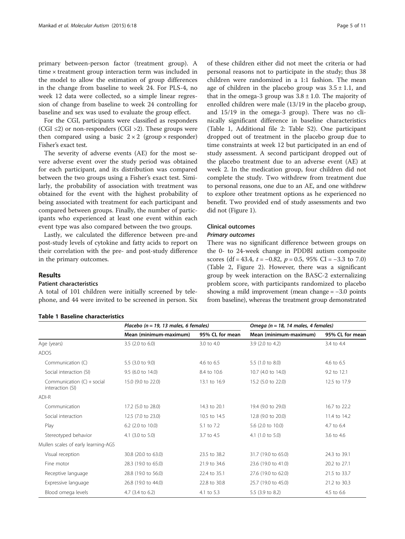primary between-person factor (treatment group). A time × treatment group interaction term was included in the model to allow the estimation of group differences in the change from baseline to week 24. For PLS-4, no week 12 data were collected, so a simple linear regression of change from baseline to week 24 controlling for baseline and sex was used to evaluate the group effect.

For the CGI, participants were classified as responders (CGI  $\leq$ 2) or non-responders (CGI  $>$ 2). These groups were then compared using a basic  $2 \times 2$  (group  $\times$  responder) Fisher's exact test.

The severity of adverse events (AE) for the most severe adverse event over the study period was obtained for each participant, and its distribution was compared between the two groups using a Fisher's exact test. Similarly, the probability of association with treatment was obtained for the event with the highest probability of being associated with treatment for each participant and compared between groups. Finally, the number of participants who experienced at least one event within each event type was also compared between the two groups.

Lastly, we calculated the difference between pre-and post-study levels of cytokine and fatty acids to report on their correlation with the pre- and post-study difference in the primary outcomes.

## Results

### Patient characteristics

A total of 101 children were initially screened by telephone, and 44 were invited to be screened in person. Six

#### Table 1 Baseline characteristics

of these children either did not meet the criteria or had personal reasons not to participate in the study; thus 38 children were randomized in a 1:1 fashion. The mean age of children in the placebo group was  $3.5 \pm 1.1$ , and that in the omega-3 group was  $3.8 \pm 1.0$ . The majority of enrolled children were male (13/19 in the placebo group, and 15/19 in the omega-3 group). There was no clinically significant difference in baseline characteristics (Table 1, Additional file [2](#page-8-0): Table S2). One participant dropped out of treatment in the placebo group due to time constraints at week 12 but participated in an end of study assessment. A second participant dropped out of the placebo treatment due to an adverse event (AE) at week 2. In the medication group, four children did not complete the study. Two withdrew from treatment due to personal reasons, one due to an AE, and one withdrew to explore other treatment options as he experienced no benefit. Two provided end of study assessments and two did not (Figure [1](#page-5-0)).

#### Clinical outcomes Primary outcomes

There was no significant difference between groups on the 0- to 24-week change in PDDBI autism composite scores (df = 43.4,  $t = -0.82$ ,  $p = 0.5$ , 95% CI = -3.3 to 7.0) (Table [2,](#page-6-0) Figure [2\)](#page-7-0). However, there was a significant group by week interaction on the BASC-2 externalizing problem score, with participants randomized to placebo showing a mild improvement (mean change = −3.0 points from baseline), whereas the treatment group demonstrated

|                                                | Placebo ( $n = 19$ , 13 males, 6 females) |                 | Omega ( $n = 18$ , 14 males, 4 females) |                 |
|------------------------------------------------|-------------------------------------------|-----------------|-----------------------------------------|-----------------|
|                                                | Mean (minimum-maximum)                    | 95% CL for mean | Mean (minimum-maximum)                  | 95% CL for mean |
| Age (years)                                    | $3.5$ (2.0 to 6.0)                        | 3.0 to 4.0      | 3.9 (2.0 to 4.2)                        | 3.4 to 4.4      |
| ADOS                                           |                                           |                 |                                         |                 |
| Communication (C)                              | 5.5 (3.0 to 9.0)                          | 4.6 to 6.5      | 5.5 (1.0 to 8.0)                        | 4.6 to 6.5      |
| Social interaction (SI)                        | 9.5 (6.0 to 14.0)                         | 8.4 to 10.6     | 10.7 (4.0 to 14.0)                      | 9.2 to 12.1     |
| Communication (C) + social<br>interaction (SI) | 15.0 (9.0 to 22.0)                        | 13.1 to 16.9    | 15.2 (5.0 to 22.0)                      | 12.5 to 17.9    |
| ADI-R                                          |                                           |                 |                                         |                 |
| Communication                                  | 17.2 (5.0 to 28.0)                        | 14.3 to 20.1    | 19.4 (9.0 to 29.0)                      | 16.7 to 22.2    |
| Social interaction                             | 12.5 (7.0 to 23.0)                        | 10.5 to 14.5    | 12.8 (9.0 to 20.0)                      | 11.4 to 14.2    |
| Play                                           | 6.2 (2.0 to 10.0)                         | 5.1 to 7.2      | 5.6 (2.0 to 10.0)                       | 4.7 to 6.4      |
| Stereotyped behavior                           | 4.1 (3.0 to 5.0)                          | 3.7 to 4.5      | 4.1 (1.0 to 5.0)                        | 3.6 to 4.6      |
| Mullen scales of early learning-AGS            |                                           |                 |                                         |                 |
| Visual reception                               | 30.8 (20.0 to 63.0)                       | 23.5 to 38.2    | 31.7 (19.0 to 65.0)                     | 24.3 to 39.1    |
| Fine motor                                     | 28.3 (19.0 to 65.0)                       | 21.9 to 34.6    | 23.6 (19.0 to 41.0)                     | 20.2 to 27.1    |
| Receptive language                             | 28.8 (19.0 to 56.0)                       | 22.4 to 35.1    | 27.6 (19.0 to 62.0)                     | 21.5 to 33.7    |
| Expressive language                            | 26.8 (19.0 to 44.0)                       | 22.8 to 30.8    | 25.7 (19.0 to 45.0)                     | 21.2 to 30.3    |
| Blood omega levels                             | 4.7 (3.4 to 6.2)                          | 4.1 to 5.3      | 5.5 (3.9 to 8.2)                        | 4.5 to 6.6      |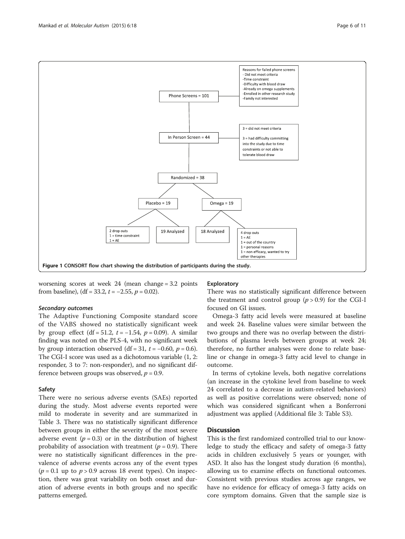<span id="page-5-0"></span>

worsening scores at week 24 (mean change = 3.2 points from baseline),  $(df = 33.2, t = -2.55, p = 0.02)$ .

#### Secondary outcomes

The Adaptive Functioning Composite standard score of the VABS showed no statistically significant week by group effect (df = 51.2,  $t = -1.54$ ,  $p = 0.09$ ). A similar finding was noted on the PLS-4, with no significant week by group interaction observed (df = 31,  $t = -0.60$ ,  $p = 0.6$ ). The CGI-I score was used as a dichotomous variable (1, 2: responder, 3 to 7: non-responder), and no significant difference between groups was observed,  $p = 0.9$ .

#### Safety

There were no serious adverse events (SAEs) reported during the study. Most adverse events reported were mild to moderate in severity and are summarized in Table [3.](#page-8-0) There was no statistically significant difference between groups in either the severity of the most severe adverse event  $(p = 0.3)$  or in the distribution of highest probability of association with treatment ( $p = 0.9$ ). There were no statistically significant differences in the prevalence of adverse events across any of the event types  $(p = 0.1 \text{ up to } p > 0.9 \text{ across } 18 \text{ event types}).$  On inspection, there was great variability on both onset and duration of adverse events in both groups and no specific patterns emerged.

#### **Exploratory**

There was no statistically significant difference between the treatment and control group  $(p > 0.9)$  for the CGI-I focused on GI issues.

Omega-3 fatty acid levels were measured at baseline and week 24. Baseline values were similar between the two groups and there was no overlap between the distributions of plasma levels between groups at week 24; therefore, no further analyses were done to relate baseline or change in omega-3 fatty acid level to change in outcome.

In terms of cytokine levels, both negative correlations (an increase in the cytokine level from baseline to week 24 correlated to a decrease in autism-related behaviors) as well as positive correlations were observed; none of which was considered significant when a Bonferroni adjustment was applied (Additional file [3](#page-8-0): Table S3).

## **Discussion**

This is the first randomized controlled trial to our knowledge to study the efficacy and safety of omega-3 fatty acids in children exclusively 5 years or younger, with ASD. It also has the longest study duration (6 months), allowing us to examine effects on functional outcomes. Consistent with previous studies across age ranges, we have no evidence for efficacy of omega-3 fatty acids on core symptom domains. Given that the sample size is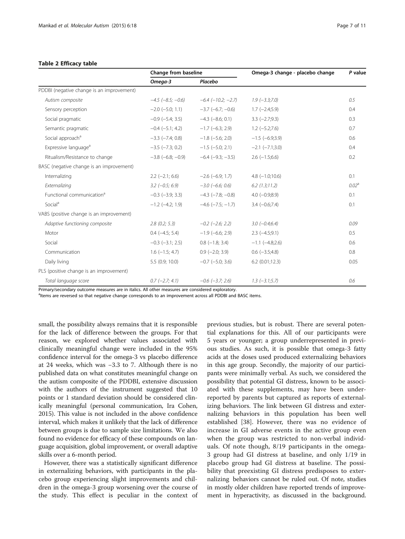#### <span id="page-6-0"></span>Table 2 Efficacy table

|                                           | Change from baseline       |                             | Omega-3 change - placebo change | P value           |
|-------------------------------------------|----------------------------|-----------------------------|---------------------------------|-------------------|
|                                           | Omega-3                    | Placebo                     |                                 |                   |
| PDDBI (negative change is an improvement) |                            |                             |                                 |                   |
| Autism composite                          | $-4.5$ ( $-8.5$ ; $-0.6$ ) | $-6.4$ ( $-10.2$ ; $-2.7$ ) | $1.9(-3.3;7.0)$                 | 0.5               |
| Sensory perception                        | $-2.0$ $(-5.0; 1.1)$       | $-3.7$ ( $-6.7$ ; $-0.6$ )  | $1.7$ ( $-2.4;5.9$ )            | 0.4               |
| Social pragmatic                          | $-0.9$ ( $-5.4$ ; 3.5)     | $-4.3$ $(-8.6; 0.1)$        | $3.3$ $(-2.7;9.3)$              | 0.3               |
| Semantic pragmatic                        | $-0.4$ $(-5.1; 4.2)$       | $-1.7$ ( $-6.3$ ; 2.9)      | $1.2 (-5.2; 7.6)$               | 0.7               |
| Social approach <sup>a</sup>              | $-3.3$ $(-7.4; 0.8)$       | $-1.8$ ( $-5.6$ ; 2.0)      | $-1.5$ ( $-6.9;3.9$ )           | 0.6               |
| Expressive language <sup>a</sup>          | $-3.5$ $(-7.3; 0.2)$       | $-1.5$ ( $-5.0; 2.1$ )      | $-2.1$ $(-7.1;3.0)$             | 0.4               |
| Ritualism/Resistance to change            | $-3.8$ ( $-6.8$ ; $-0.9$ ) | $-6.4$ $(-9.3; -3.5)$       | $2.6$ (-1.5;6.6)                | 0.2               |
| BASC (negative change is an improvement)  |                            |                             |                                 |                   |
| Internalizing                             | $2.2$ (-2.1; 6.6)          | $-2.6$ $(-6.9; 1.7)$        | $4.8$ ( $-1.0;10.6$ )           | 0.1               |
| Externalizing                             | $3.2$ (-0.5; 6.9)          | $-3.0$ ( $-6.6$ ; 0.6)      | $6.2$ $(1.3;11.2)$              | 0.02 <sup>a</sup> |
| Functional communication <sup>a</sup>     | $-0.3$ $(-3.9; 3.3)$       | $-4.3$ ( $-7.8$ ; $-0.8$ )  | $4.0$ (-0.9;8.9)                | 0.1               |
| Social <sup>a</sup>                       | $-1.2$ ( $-4.2$ ; 1.9)     | $-4.6$ ( $-7.5$ ; $-1.7$ )  | $3.4 (-0.6; 7.4)$               | 0.1               |
| VABS (positive change is an improvement)  |                            |                             |                                 |                   |
| Adaptive functioning composite            | $2.8$ (0.2; 5.3)           | $-0.2$ ( $-2.6$ ; 2.2)      | $3.0 (-0.4, 6.4)$               | 0.09              |
| Motor                                     | $0.4 (-4.5; 5.4)$          | $-1.9$ (-6.6; 2.9)          | $2.3$ ( $-4.5;9.1$ )            | 0.5               |
| Social                                    | $-0.3$ $(-3.1; 2.5)$       | $0.8$ ( $-1.8$ ; 3.4)       | $-1.1$ $(-4.8;2.6)$             | 0.6               |
| Communication                             | $1.6$ (-1.5; 4.7)          | $0.9$ ( $-2.0$ ; 3.9)       | $0.6$ $(-3.5;4.8)$              | 0.8               |
| Daily living                              | 5.5(0.9; 10.0)             | $-0.7$ $(-5.0; 3.6)$        | $6.2$ (0.01;12.3)               | 0.05              |
| PLS (positive change is an improvement)   |                            |                             |                                 |                   |
| Total language score                      | $0.7$ (-2.7; 4.1)          | $-0.6$ ( $-3.7$ ; 2.6)      | $1.3$ (-3.1;5.7)                | 0.6               |

Primary/secondary outcome measures are in italics. All other measures are considered exploratory.

<sup>a</sup>ltems are reversed so that negative change corresponds to an improvement across all PDDBI and BASC items.

small, the possibility always remains that it is responsible for the lack of difference between the groups. For that reason, we explored whether values associated with clinically meaningful change were included in the 95% confidence interval for the omega-3 vs placebo difference at 24 weeks, which was −3.3 to 7. Although there is no published data on what constitutes meaningful change on the autism composite of the PDDBI, extensive discussion with the authors of the instrument suggested that 10 points or 1 standard deviation should be considered clinically meaningful (personal communication, Ira Cohen, 2015). This value is not included in the above confidence interval, which makes it unlikely that the lack of difference between groups is due to sample size limitations. We also found no evidence for efficacy of these compounds on language acquisition, global improvement, or overall adaptive skills over a 6-month period.

However, there was a statistically significant difference in externalizing behaviors, with participants in the placebo group experiencing slight improvements and children in the omega-3 group worsening over the course of the study. This effect is peculiar in the context of previous studies, but is robust. There are several potential explanations for this. All of our participants were 5 years or younger; a group underrepresented in previous studies. As such, it is possible that omega-3 fatty acids at the doses used produced externalizing behaviors in this age group. Secondly, the majority of our participants were minimally verbal. As such, we considered the possibility that potential GI distress, known to be associated with these supplements, may have been underreported by parents but captured as reports of externalizing behaviors. The link between GI distress and externalizing behaviors in this population has been well established [[38](#page-10-0)]. However, there was no evidence of increase in GI adverse events in the active group even when the group was restricted to non-verbal individuals. Of note though, 8/19 participants in the omega-3 group had GI distress at baseline, and only 1/19 in placebo group had GI distress at baseline. The possibility that preexisting GI distress predisposes to externalizing behaviors cannot be ruled out. Of note, studies in mostly older children have reported trends of improvement in hyperactivity, as discussed in the background.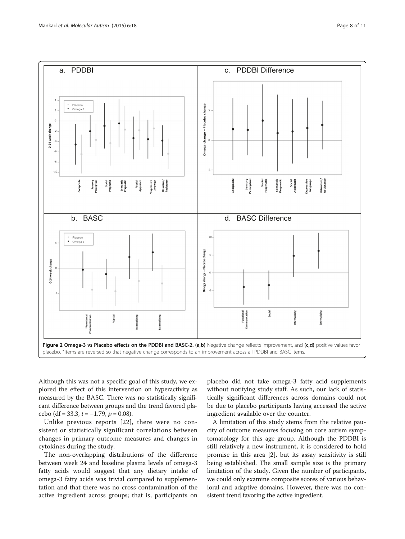<span id="page-7-0"></span>

Although this was not a specific goal of this study, we explored the effect of this intervention on hyperactivity as measured by the BASC. There was no statistically significant difference between groups and the trend favored placebo (df = 33.3,  $t = -1.79$ ,  $p = 0.08$ ).

Unlike previous reports [[22\]](#page-9-0), there were no consistent or statistically significant correlations between changes in primary outcome measures and changes in cytokines during the study.

The non-overlapping distributions of the difference between week 24 and baseline plasma levels of omega-3 fatty acids would suggest that any dietary intake of omega-3 fatty acids was trivial compared to supplementation and that there was no cross contamination of the active ingredient across groups; that is, participants on

placebo did not take omega-3 fatty acid supplements without notifying study staff. As such, our lack of statistically significant differences across domains could not be due to placebo participants having accessed the active ingredient available over the counter.

A limitation of this study stems from the relative paucity of outcome measures focusing on core autism symptomatology for this age group. Although the PDDBI is still relatively a new instrument, it is considered to hold promise in this area [[2](#page-9-0)], but its assay sensitivity is still being established. The small sample size is the primary limitation of the study. Given the number of participants, we could only examine composite scores of various behavioral and adaptive domains. However, there was no consistent trend favoring the active ingredient.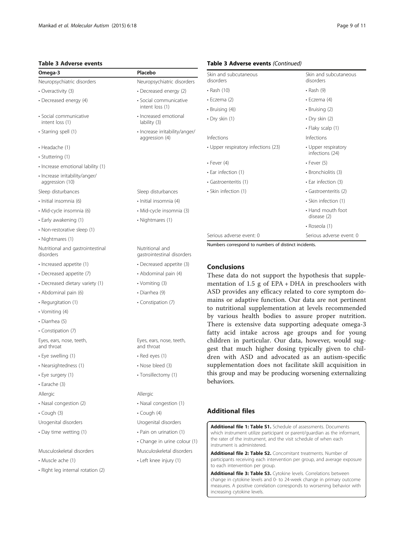### <span id="page-8-0"></span>Table 3 Adverse events

• Vomiting (4) • Diarrhea (5) • Constipation (7) Eyes, ears, nose, teeth,

and throat

• Earache (3)

• Right leg internal rotation (2)

| Omega-3                                           | Placebo                                          |  |
|---------------------------------------------------|--------------------------------------------------|--|
| Neuropsychiatric disorders                        | Neuropsychiatric disorders                       |  |
| • Overactivity (3)                                | • Decreased energy (2)                           |  |
| • Decreased energy (4)                            | • Social communicative<br>intent loss (1)        |  |
| • Social communicative<br>intent loss (1)         | · Increased emotional<br>lability (3)            |  |
| · Starring spell (1)                              | · Increase irritability/anger/<br>aggression (4) |  |
| · Headache (1)                                    |                                                  |  |
| · Stuttering (1)                                  |                                                  |  |
| • Increase emotional lability (1)                 |                                                  |  |
| · Increase irritability/anger/<br>aggression (10) |                                                  |  |
| Sleep disturbances                                | Sleep disturbances                               |  |
| · Initial insomnia (6)                            | · Initial insomnia (4)                           |  |
| · Mid-cycle insomnia (6)                          | · Mid-cycle insomnia (3)                         |  |
| • Early awakening (1)                             | • Nightmares (1)                                 |  |
| • Non-restorative sleep (1)                       |                                                  |  |
| • Nightmares (1)                                  |                                                  |  |
| Nutritional and gastrointestinal<br>disorders     | Nutritional and<br>gastrointestinal disorders    |  |
| · Increased appetite (1)                          | • Decreased appetite (3)                         |  |
| • Decreased appetite (7)                          | • Abdominal pain (4)                             |  |
| • Decreased dietary variety (1)                   | $\cdot$ Vomiting (3)                             |  |
| • Abdominal pain (6)                              | • Diarrhea (9)                                   |  |

• Regurgitation (1) • Constipation (7)

Eyes, ears, nose, teeth, and throat

- Eye swelling (1) Red eyes (1)
- Nearsightedness (1) Nose bleed (3)
- Eye surgery (1) Tonsillectomy (1)

Allergic Allergic

- Nasal congestion (2) Nasal congestion (1)
- Cough (3) Cough (4)
- Urogenital disorders Urogenital disorders
- Day time wetting (1) Pain on urination (1)
	- Change in urine colour (1)
- Musculoskeletal disorders Musculoskeletal disorders
- Muscle ache (1) Left knee injury (1)

## Table 3 Adverse events (Continued)

| Skin and subcutaneous<br>disorders  | Skin and subcutaneous<br>disorders     |
|-------------------------------------|----------------------------------------|
| $\cdot$ Rash (10)                   | $\cdot$ Rash (9)                       |
| $\cdot$ Eczema (2)                  | • Eczema (4)                           |
| • Bruising $(4)$ )                  | • Bruising $(2)$                       |
| $\cdot$ Dry skin (1)                | • Dry skin $(2)$                       |
|                                     | • Flaky scalp (1)                      |
| Infections                          | Infections                             |
| • Upper respiratory infections (23) | • Upper respiratory<br>infections (24) |
| $\cdot$ Fever (4)                   | • Fever $(5)$                          |
| • Ear infection (1)                 | • Bronchiolitis (3)                    |
| • Gastroenteritis (1)               | • Ear infection (3)                    |
| • Skin infection (1)                | • Gastroenteritis (2)                  |
|                                     | • Skin infection (1)                   |
|                                     | • Hand mouth foot<br>disease (2)       |
|                                     | • Roseola (1)                          |
| Serious adverse event: 0            | Serious adverse event: 0               |

pers correspond to numbers of distinct incidents.

## **Iclusions**

se data do not support the hypothesis that supplentation of  $1.5$  g of EPA + DHA in preschoolers with If provides any efficacy related to core symptom domains or adaptive function. Our data are not pertinent to nutritional supplementation at levels recommended by various health bodies to assure proper nutrition. There is extensive data supporting adequate omega-3 fatty acid intake across age groups and for young children in particular. Our data, however, would suggest that much higher dosing typically given to children with ASD and advocated as an autism-specific supplementation does not facilitate skill acquisition in this group and may be producing worsening externalizing behaviors.

#### Additional files

[Additional file 1: Table S1.](http://www.molecularautism.com/content/supplementary/s13229-015-0010-7-s1.docx) Schedule of assessments. Documents which instrument utilize participant or parent/guardian as the informant, the rater of the instrument, and the visit schedule of when each instrument is administered.

[Additional file 2: Table S2.](http://www.molecularautism.com/content/supplementary/s13229-015-0010-7-s2.docx) Concomitant treatments. Number of participants receiving each intervention per group, and average exposure to each intervention per group.

[Additional file 3: Table S3.](http://www.molecularautism.com/content/supplementary/s13229-015-0010-7-s3.docx) Cytokine levels. Correlations between change in cytokine levels and 0- to 24-week change in primary outcome measures. A positive correlation corresponds to worsening behavior with increasing cytokine levels.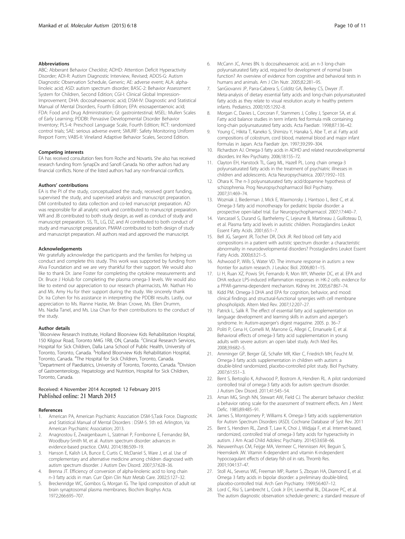#### <span id="page-9-0"></span>**Abbreviations**

ABC: Abberant Behavior Checklist; ADHD: Attention Deficit Hyperactivity Disorder; ADI-R: Autism Diagnostic Interview, Revised; ADOS-G: Autism Diagnostic Observation Schedule, Generic; AE: adverse event; ALA: alphalinoleic acid; ASD: autism spectrum disorder; BASC-2: Behavior Assessment System for Children, Second Edition; CGI-I: Clinical Global Impression-Improvement; DHA: docosahexaenoic acid; DSM-IV: Diagnostic and Statistical Manual of Mental Disorders, Fourth Edition; EPA: eisosapentaenoic acid; FDA: Food and Drug Administration; GI: gastrointestinal; MSEL: Mullen Scales of Early Learning; PDDBI: Pervasive Developmental Disorder Behavior Inventory; PLS-4: Preschool Language Scale, Fourth Edition; RCT: randomized control trials; SAE: serious adverse event; SMURF: Safety Monitoring Uniform Rreport Form; VABS-II: Vineland Adaptive Behavior Scales, Second Edition.

#### Competing interests

EA has received consultation fees from Roche and Novartis. She also has received research funding from SynapDx and Sanofi Canada. No other authors had any financial conflicts. None of the listed authors had any non-financial conflicts.

#### Authors' contributions

EA is the PI of the study, conceptualized the study, received grant funding, supervised the study, and supervised analysis and manuscript preparation. DM contributed to data collection and co-led manuscript preparation. AD was responsible for all analytic work and contributed to manuscript preparation. WR and JB contributed to both study design, as well as conduct of study and manuscript preparation. SS, TL, LG, DZ, and AI contributed to both conduct of study and manuscript preparation. PMAM contributed to both design of study and manuscript preparation. All authors read and approved the manuscript.

#### Acknowledgements

We gratefully acknowledge the participants and the families for helping us conduct and complete this study. This work was supported by funding from Alva Foundation and we are very thankful for their support. We would also like to thank Dr. Jane Foster for completing the cytokine measurements and Dr. Bruce J Holub for completing the plasma omega-3 levels. We would also like to extend our appreciation to our research pharmacists, Mr. Nathan Ho and Ms. Amy Hu for their support during the study. We sincerely thank Dr. Ira Cohen for his assistance in interpreting the PDDBI results. Lastly, our appreciation to Ms. Rianne Hastie, Mr. Brian Crowe, Ms. Ellen Drumm, Ms. Nadia Tanel, and Ms. Lisa Chan for their contributions to the conduct of the study.

#### Author details

<sup>1</sup>Bloorview Research Institute, Holland Bloorview Kids Rehabilitation Hospital, 150 Kilgour Road, Toronto M4G 1R8, ON, Canada. <sup>2</sup>Clinical Research Services, Hospital for Sick Children, Dalla Lana School of Public Health, University of Toronto, Toronto, Canada. <sup>3</sup>Holland Bloorview Kids Rehabilitation Hospital,<br>Toronto, Canada. <sup>4</sup>The Hospital for Sick Children, Toronto, Canada.<br><sup>5</sup>Department of Paediatrics, University of Toronto, Toronto, Canada. <sup>6</sup>Div Department of Paediatrics, University of Toronto, Toronto, Canada. <sup>6</sup>Division of Gastroenterology, Hepatology and Nutrition, Hospital for Sick Children, Toronto, Canada.

#### Received: 4 November 2014 Accepted: 12 February 2015 Published online: 21 March 2015

#### References

- 1. American PA, American Psychiatric Association DSM-5,Task Force. Diagnostic and Statistical Manual of Mental Disorders : DSM-5. 5th ed. Arlington, Va: American Psychiatric Association; 2013.
- 2. Anagnostou E, Zwaigenbaum L, Szatmari P, Fombonne E, Fernandez BA, Woodbury-Smith M, et al. Autism spectrum disorder: advances in evidence-based practice. CMAJ. 2014;186:509–19.
- 3. Hanson E, Kalish LA, Bunce E, Curtis C, McDaniel S, Ware J, et al. Use of complementary and alternative medicine among children diagnosed with autism spectrum disorder. J Autism Dev Disord. 2007;37:628–36.
- 4. Brenna JT. Efficiency of conversion of alpha-linolenic acid to long chain n-3 fatty acids in man. Curr Opin Clin Nutr Metab Care. 2002;5:127–32.
- 5. Breckenridge WC, Gombos G, Morgan IG. The lipid composition of adult rat brain synaptosomal plasma membranes. Biochim Biophys Acta. 1972;266:695–707.
- 6. McCann JC, Ames BN. Is docosahexaenoic acid, an n-3 long-chain polyunsaturated fatty acid, required for development of normal brain function? An overview of evidence from cognitive and behavioral tests in humans and animals. Am J Clin Nutr. 2005;82:281–95.
- 7. SanGiovanni JP, Parra-Cabrera S, Colditz GA, Berkey CS, Dwyer JT. Meta-analysis of dietary essential fatty acids and long-chain polyunsaturated fatty acids as they relate to visual resolution acuity in healthy preterm infants. Pediatrics. 2000;105:1292–8.
- 8. Morgan C, Davies L, Corcoran F, Stammers J, Colley J, Spencer SA, et al. Fatty acid balance studies in term infants fed formula milk containing long-chain polyunsaturated fatty acids. Acta Paediatr. 1998;87:136–42.
- 9. Young C, Hikita T, Kaneko S, Shimizu Y, Hanaka S, Abe T, et al. Fatty acid compositions of colostrum, cord blood, maternal blood and major infant formulas in Japan. Acta Paediatr Jpn. 1997;39:299–304.
- 10. Richardson AJ. Omega-3 fatty acids in ADHD and related neurodevelopmental disorders. Int Rev Psychiatry. 2006;18:155–72.
- 11. Clayton EH, Hanstock TL, Garg ML, Hazell PL. Long chain omega-3 polyunsaturated fatty acids in the treatment of psychiatric illnesses in children and adolescents. Acta Neuropsychiatrica. 2007;19:92–103.
- 12. Ohara K. The n-3 polyunsaturated fatty acid/dopamine hypothesis of schizophrenia. Prog Neuropsychopharmacol Biol Psychiatry. 2007;31:469–74.
- 13. Wozniak J, Biederman J, Mick E, Waxmonsky J, Hantsoo L, Best C, et al. Omega-3 fatty acid monotherapy for pediatric bipolar disorder: a prospective open-label trial. Eur Neuropsychopharmacol. 2007;17:440–7.
- 14. Vancassel S, Durand G, Barthelemy C, Lejeune B, Martineau J, Guilloteau D, et al. Plasma fatty acid levels in autistic children. Prostaglandins Leukot Essent Fatty Acids. 2001;65:1–7.
- 15. Bell JG, Sargent JR, Tocher DR, Dick JR. Red blood cell fatty acid compositions in a patient with autistic spectrum disorder: a characteristic abnormality in neurodevelopmental disorders? Prostaglandins Leukot Essent Fatty Acids. 2000;63:21–5.
- 16. Ashwood P, Wills S, Water VD. The immune response in autism: a new frontier for autism research. J Leukoc Biol. 2006;80:1–15.
- 17. Li H, Ruan XZ, Powis SH, Fernando R, Mon WY, Wheeler DC, et al. EPA and DHA reduce LPS-induced inflammation responses in HK-2 cells: evidence for a PPAR-gamma-dependent mechanism. Kidney Int. 2005;67:867–74.
- 18. Kidd PM. Omega-3 DHA and EPA for cognition, behavior, and mood: clinical findings and structural-functional synergies with cell membrane phospholipids. Altern Med Rev. 2007;12:207–27.
- 19. Patrick L, Salik R. The effect of essential fatty acid supplementation on language development and learning skills in autism and asperger's syndrome. In: Autism-asperger's digest magazine. 2005. p. 36–7
- 20. Politi P, Cena H, Comelli M, Marrone G, Allegri C, Emanuele E, et al. Behavioral effects of omega-3 fatty acid supplementation in young adults with severe autism: an open label study. Arch Med Res. 2008;39:682–5.
- 21. Amminger GP, Berger GE, Schafer MR, Klier C, Friedrich MH, Feucht M. Omega-3 fatty acids supplementation in children with autism: a double-blind randomized, placebo-controlled pilot study. Biol Psychiatry. 2007;61:551–3.
- 22. Bent S, Bertoglio K, Ashwood P, Bostrom A, Hendren RL. A pilot randomized controlled trial of omega-3 fatty acids for autism spectrum disorder. J Autism Dev Disord. 2011;41:545–54.
- 23. Aman MG, Singh NN, Stewart AW, Field CJ. The aberrant behavior checklist: a behavior rating scale for the assessment of treatment effects. Am J Ment Defic. 1985;89:485–91.
- 24. James S, Montgomery P, Williams K. Omega-3 fatty acids supplementation for Autism Spectrum Disorders (ASD). Cochrane Database of Syst Rev. 2011
- 25. Bent S, Hendren RL, Zandi T, Law K, Choi J, Widjaja F, et al. Internet-based, randomized, controlled trial of omega-3 fatty acids for hyperactivity in autism. J Am Acad Child Adolesc Psychiatry. 2014;53:658–66.
- 26. Nieuwenhuys CM, Feijge MA, Vermeer C, Hennissen AH, Beguin S, Heemskerk JW. Vitamin K-dependent and vitamin K-independent hypocoagulant effects of dietary fish oil in rats. Thromb Res. 2001;104:137–47.
- 27. Stoll AL, Severus WE, Freeman MP, Rueter S, Zboyan HA, Diamond E, et al. Omega 3 fatty acids in bipolar disorder: a preliminary double-blind, placebo-controlled trial. Arch Gen Psychiatry. 1999;56:407–12.
- 28. Lord C, Risi S, Lambrecht L, Cook Jr EH, Leventhal BL, DiLavore PC, et al. The autism diagnostic observation schedule-generic: a standard measure of